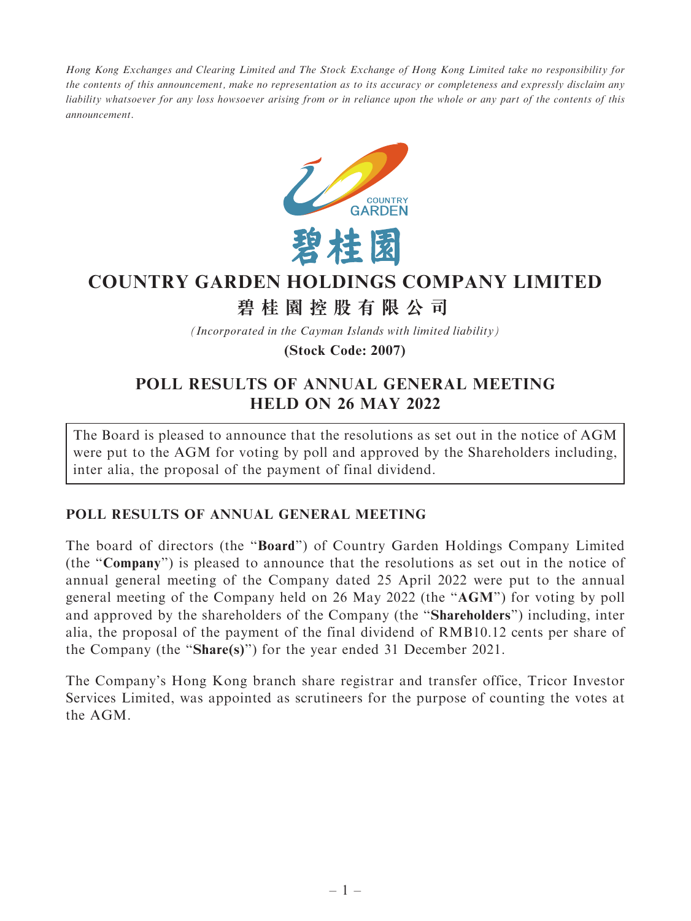Hong Kong Exchanges and Clearing Limited and The Stock Exchange of Hong Kong Limited take no responsibility for the contents of this announcement, make no representation as to its accuracy or completeness and expressly disclaim any liability whatsoever for any loss howsoever arising from or in reliance upon the whole or any part of the contents of this announcement.



## **COUNTRY GARDEN HOLDINGS COMPANY LIMITED**

# **碧桂園控股有限公司**

*(Incorporated in the Cayman Islands with limited liability)*

**(Stock Code: 2007)**

## POLL RESULTS OF ANNUAL GENERAL MEETING HELD ON 26 MAY 2022

The Board is pleased to announce that the resolutions as set out in the notice of AGM were put to the AGM for voting by poll and approved by the Shareholders including, inter alia, the proposal of the payment of final dividend.

### POLL RESULTS OF ANNUAL GENERAL MEETING

The board of directors (the ''Board'') of Country Garden Holdings Company Limited (the ''Company'') is pleased to announce that the resolutions as set out in the notice of annual general meeting of the Company dated 25 April 2022 were put to the annual general meeting of the Company held on 26 May 2022 (the ''AGM'') for voting by poll and approved by the shareholders of the Company (the ''Shareholders'') including, inter alia, the proposal of the payment of the final dividend of RMB10.12 cents per share of the Company (the ''Share(s)'') for the year ended 31 December 2021.

The Company's Hong Kong branch share registrar and transfer office, Tricor Investor Services Limited, was appointed as scrutineers for the purpose of counting the votes at the AGM.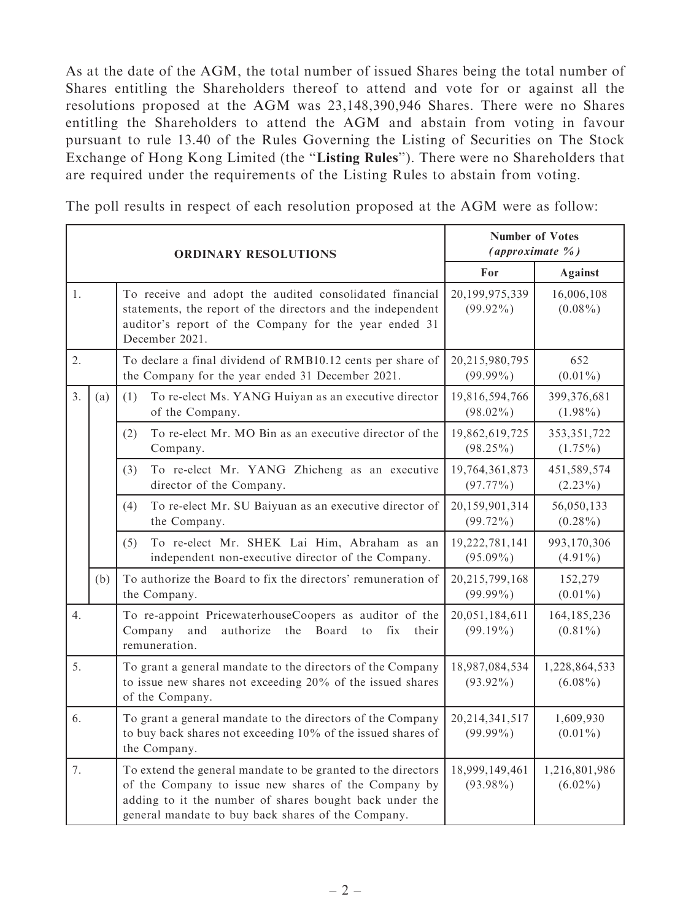As at the date of the AGM, the total number of issued Shares being the total number of Shares entitling the Shareholders thereof to attend and vote for or against all the resolutions proposed at the AGM was 23,148,390,946 Shares. There were no Shares entitling the Shareholders to attend the AGM and abstain from voting in favour pursuant to rule 13.40 of the Rules Governing the Listing of Securities on The Stock Exchange of Hong Kong Limited (the "Listing Rules"). There were no Shareholders that are required under the requirements of the Listing Rules to abstain from voting.

The poll results in respect of each resolution proposed at the AGM were as follow:

| <b>ORDINARY RESOLUTIONS</b> |     |                                                                                                                                                                                                                                       | <b>Number of Votes</b><br>(approximate %) |                             |
|-----------------------------|-----|---------------------------------------------------------------------------------------------------------------------------------------------------------------------------------------------------------------------------------------|-------------------------------------------|-----------------------------|
|                             |     |                                                                                                                                                                                                                                       | For                                       | <b>Against</b>              |
| 1.                          |     | To receive and adopt the audited consolidated financial<br>statements, the report of the directors and the independent<br>auditor's report of the Company for the year ended 31<br>December 2021.                                     | 20,199,975,339<br>$(99.92\%)$             | 16,006,108<br>$(0.08\%)$    |
| 2.                          |     | To declare a final dividend of RMB10.12 cents per share of<br>the Company for the year ended 31 December 2021.                                                                                                                        | 20,215,980,795<br>$(99.99\%)$             | 652<br>$(0.01\%)$           |
| 3.                          | (a) | To re-elect Ms. YANG Huiyan as an executive director<br>(1)<br>of the Company.                                                                                                                                                        | 19,816,594,766<br>$(98.02\%)$             | 399,376,681<br>$(1.98\%)$   |
|                             |     | To re-elect Mr. MO Bin as an executive director of the<br>(2)<br>Company.                                                                                                                                                             | 19,862,619,725<br>$(98.25\%)$             | 353, 351, 722<br>$(1.75\%)$ |
|                             |     | (3)<br>To re-elect Mr. YANG Zhicheng as an executive<br>director of the Company.                                                                                                                                                      | 19,764,361,873<br>$(97.77\%)$             | 451,589,574<br>$(2.23\%)$   |
|                             |     | (4)<br>To re-elect Mr. SU Baiyuan as an executive director of<br>the Company.                                                                                                                                                         | 20,159,901,314<br>$(99.72\%)$             | 56,050,133<br>$(0.28\%)$    |
|                             |     | To re-elect Mr. SHEK Lai Him, Abraham as an<br>(5)<br>independent non-executive director of the Company.                                                                                                                              | 19,222,781,141<br>$(95.09\%)$             | 993,170,306<br>$(4.91\%)$   |
|                             | (b) | To authorize the Board to fix the directors' remuneration of<br>the Company.                                                                                                                                                          | 20,215,799,168<br>$(99.99\%)$             | 152,279<br>$(0.01\%)$       |
| 4.                          |     | To re-appoint PricewaterhouseCoopers as auditor of the<br>Company<br>and<br>authorize<br>the<br>Board<br>fix<br>$\mathfrak{t}$<br>their<br>remuneration.                                                                              | 20,051,184,611<br>$(99.19\%)$             | 164, 185, 236<br>$(0.81\%)$ |
| 5.                          |     | To grant a general mandate to the directors of the Company<br>to issue new shares not exceeding 20% of the issued shares<br>of the Company.                                                                                           | 18,987,084,534<br>$(93.92\%)$             | 1,228,864,533<br>$(6.08\%)$ |
| 6.                          |     | To grant a general mandate to the directors of the Company<br>to buy back shares not exceeding 10% of the issued shares of<br>the Company.                                                                                            | 20, 214, 341, 517<br>$(99.99\%)$          | 1,609,930<br>$(0.01\%)$     |
| 7.                          |     | To extend the general mandate to be granted to the directors<br>of the Company to issue new shares of the Company by<br>adding to it the number of shares bought back under the<br>general mandate to buy back shares of the Company. | 18,999,149,461<br>$(93.98\%)$             | 1,216,801,986<br>$(6.02\%)$ |